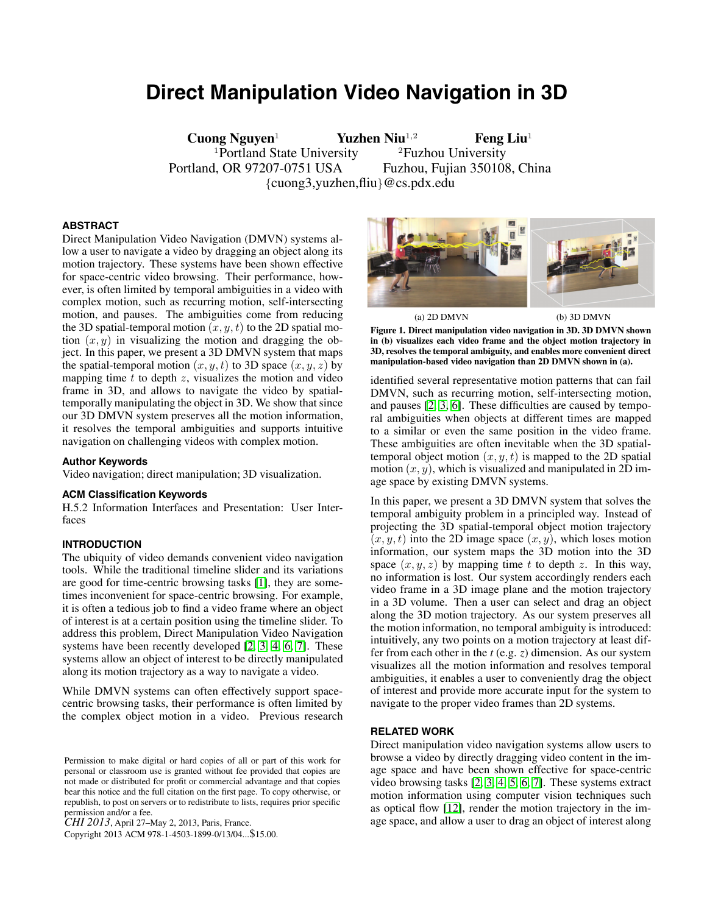# **Direct Manipulation Video Navigation in 3D**

**Cuong Nguyen**<sup>1</sup> **Yuzhen Niu**1*,*<sup>2</sup> **Feng Liu**<sup>1</sup> <sup>1</sup>Portland State University <sup>2</sup>Fuzhou University Portland, OR 97207-0751 USA Fuzhou, Fujian 350108, China {cuong3,yuzhen,fliu}@cs.pdx.edu

# **ABSTRACT**

Direct Manipulation Video Navigation (DMVN) systems allow a user to navigate a video by dragging an object along its motion trajectory. These systems have been shown effective for space-centric video browsing. Their performance, however, is often limited by temporal ambiguities in a video with complex motion, such as recurring motion, self-intersecting motion, and pauses. The ambiguities come from reducing the 3D spatial-temporal motion  $(x, y, t)$  to the 2D spatial motion  $(x, y)$  in visualizing the motion and dragging the object. In this paper, we present a 3D DMVN system that maps the spatial-temporal motion  $(x, y, t)$  to 3D space  $(x, y, z)$  by mapping time  $t$  to depth  $z$ , visualizes the motion and video frame in 3D, and allows to navigate the video by spatialtemporally manipulating the object in 3D. We show that since our 3D DMVN system preserves all the motion information, it resolves the temporal ambiguities and supports intuitive navigation on challenging videos with complex motion.

#### **Author Keywords**

Video navigation; direct manipulation; 3D visualization.

#### **ACM Classification Keywords**

H.5.2 Information Interfaces and Presentation: User Interfaces

## **INTRODUCTION**

The ubiquity of video demands convenient video navigation tools. While the traditional timeline slider and its variations are good for time-centric browsing tasks [\[1\]](#page-3-0), they are sometimes inconvenient for space-centric browsing. For example, it is often a tedious job to find a video frame where an object of interest is at a certain position using the timeline slider. To address this problem, Direct Manipulation Video Navigation systems have been recently developed [\[2,](#page-3-1) [3,](#page-3-2) [4,](#page-3-3) [6,](#page-3-4) [7\]](#page-3-5). These systems allow an object of interest to be directly manipulated along its motion trajectory as a way to navigate a video.

While DMVN systems can often effectively support spacecentric browsing tasks, their performance is often limited by the complex object motion in a video. Previous research

Copyright 2013 ACM 978-1-4503-1899-0/13/04...\$15.00.



<span id="page-0-0"></span>

**Figure 1. Direct manipulation video navigation in 3D. 3D DMVN shown in (b) visualizes each video frame and the object motion trajectory in 3D, resolves the temporal ambiguity, and enables more convenient direct manipulation-based video navigation than 2D DMVN shown in (a).**

identified several representative motion patterns that can fail DMVN, such as recurring motion, self-intersecting motion, and pauses [\[2,](#page-3-1) [3,](#page-3-2) [6\]](#page-3-4). These difficulties are caused by temporal ambiguities when objects at different times are mapped to a similar or even the same position in the video frame. These ambiguities are often inevitable when the 3D spatialtemporal object motion  $(x, y, t)$  is mapped to the 2D spatial motion  $(x, y)$ , which is visualized and manipulated in 2D image space by existing DMVN systems.

In this paper, we present a 3D DMVN system that solves the temporal ambiguity problem in a principled way. Instead of projecting the 3D spatial-temporal object motion trajectory  $(x, y, t)$  into the 2D image space  $(x, y)$ , which loses motion information, our system maps the 3D motion into the 3D space  $(x, y, z)$  by mapping time t to depth z. In this way, no information is lost. Our system accordingly renders each video frame in a 3D image plane and the motion trajectory in a 3D volume. Then a user can select and drag an object along the 3D motion trajectory. As our system preserves all the motion information, no temporal ambiguity is introduced: intuitively, any two points on a motion trajectory at least differ from each other in the *t* (e.g. *z*) dimension. As our system visualizes all the motion information and resolves temporal ambiguities, it enables a user to conveniently drag the object of interest and provide more accurate input for the system to navigate to the proper video frames than 2D systems.

#### **RELATED WORK**

Direct manipulation video navigation systems allow users to browse a video by directly dragging video content in the image space and have been shown effective for space-centric video browsing tasks [\[2,](#page-3-1) [3,](#page-3-2) [4,](#page-3-3) [5,](#page-3-6) [6,](#page-3-4) [7\]](#page-3-5). These systems extract motion information using computer vision techniques such as optical flow [\[12\]](#page-3-7), render the motion trajectory in the image space, and allow a user to drag an object of interest along

Permission to make digital or hard copies of all or part of this work for personal or classroom use is granted without fee provided that copies are not made or distributed for profit or commercial advantage and that copies bear this notice and the full citation on the first page. To copy otherwise, or republish, to post on servers or to redistribute to lists, requires prior specific permission and/or a fee.

*CHI 2013*, April 27–May 2, 2013, Paris, France.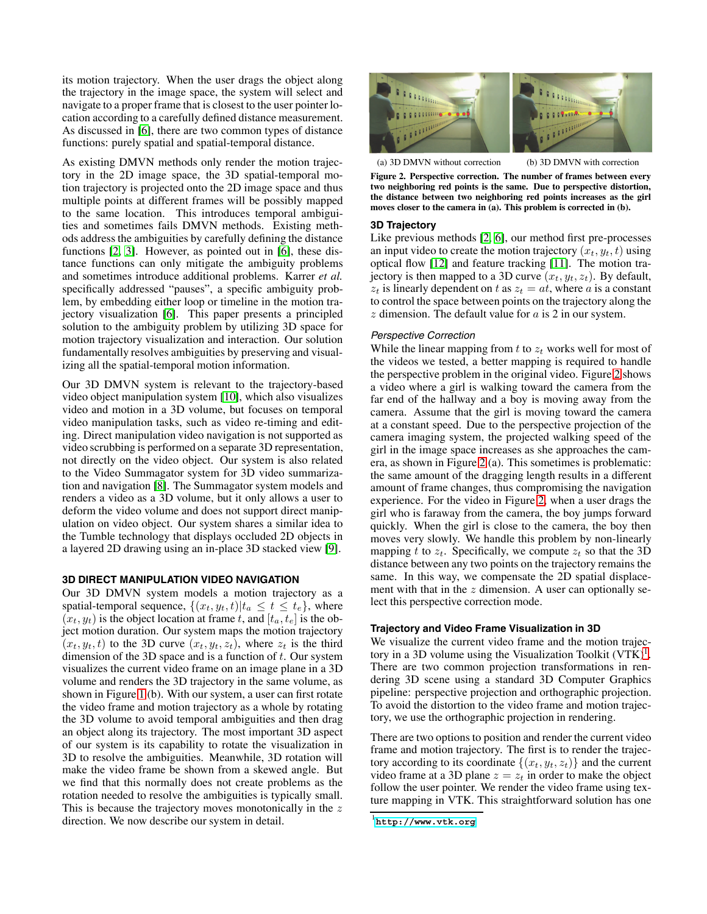its motion trajectory. When the user drags the object along the trajectory in the image space, the system will select and navigate to a proper frame that is closest to the user pointer location according to a carefully defined distance measurement. As discussed in [\[6\]](#page-3-4), there are two common types of distance functions: purely spatial and spatial-temporal distance.

As existing DMVN methods only render the motion trajectory in the 2D image space, the 3D spatial-temporal motion trajectory is projected onto the 2D image space and thus multiple points at different frames will be possibly mapped to the same location. This introduces temporal ambiguities and sometimes fails DMVN methods. Existing methods address the ambiguities by carefully defining the distance functions [\[2,](#page-3-1) [3\]](#page-3-2). However, as pointed out in [\[6\]](#page-3-4), these distance functions can only mitigate the ambiguity problems and sometimes introduce additional problems. Karrer *et al.* specifically addressed "pauses", a specific ambiguity problem, by embedding either loop or timeline in the motion trajectory visualization [\[6\]](#page-3-4). This paper presents a principled solution to the ambiguity problem by utilizing 3D space for motion trajectory visualization and interaction. Our solution fundamentally resolves ambiguities by preserving and visualizing all the spatial-temporal motion information.

Our 3D DMVN system is relevant to the trajectory-based video object manipulation system [\[10\]](#page-3-8), which also visualizes video and motion in a 3D volume, but focuses on temporal video manipulation tasks, such as video re-timing and editing. Direct manipulation video navigation is not supported as video scrubbing is performed on a separate 3D representation, not directly on the video object. Our system is also related to the Video Summagator system for 3D video summarization and navigation [\[8\]](#page-3-9). The Summagator system models and renders a video as a 3D volume, but it only allows a user to deform the video volume and does not support direct manipulation on video object. Our system shares a similar idea to the Tumble technology that displays occluded 2D objects in a layered 2D drawing using an in-place 3D stacked view [\[9\]](#page-3-10).

#### **3D DIRECT MANIPULATION VIDEO NAVIGATION**

Our 3D DMVN system models a motion trajectory as a spatial-temporal sequence,  $\{(x_t, y_t, t)|t_a \leq t \leq t_e\}$ , where  $(x_t, y_t)$  is the object location at frame t, and  $[t_a, t_e]$  is the object motion duration. Our system maps the motion trajectory  $(x_t, y_t, t)$  to the 3D curve  $(x_t, y_t, z_t)$ , where  $z_t$  is the third dimension of the 3D space and is a function of  $t$ . Our system visualizes the current video frame on an image plane in a 3D volume and renders the 3D trajectory in the same volume, as shown in Figure [1](#page-0-0) (b). With our system, a user can first rotate the video frame and motion trajectory as a whole by rotating the 3D volume to avoid temporal ambiguities and then drag an object along its trajectory. The most important 3D aspect of our system is its capability to rotate the visualization in 3D to resolve the ambiguities. Meanwhile, 3D rotation will make the video frame be shown from a skewed angle. But we find that this normally does not create problems as the rotation needed to resolve the ambiguities is typically small. This is because the trajectory moves monotonically in the z direction. We now describe our system in detail.



(a) 3D DMVN without correction (b) 3D DMVN with correction

<span id="page-1-0"></span>**Figure 2. Perspective correction. The number of frames between every two neighboring red points is the same. Due to perspective distortion, the distance between two neighboring red points increases as the girl moves closer to the camera in (a). This problem is corrected in (b).**

#### **3D Trajectory**

Like previous methods [\[2,](#page-3-1) [6\]](#page-3-4), our method first pre-processes an input video to create the motion trajectory  $(x_t, y_t, t)$  using optical flow [\[12\]](#page-3-7) and feature tracking [\[11\]](#page-3-11). The motion trajectory is then mapped to a 3D curve  $(x_t, y_t, z_t)$ . By default,  $z_t$  is linearly dependent on t as  $z_t = at$ , where a is a constant to control the space between points on the trajectory along the  $z$  dimension. The default value for  $a$  is 2 in our system.

## *Perspective Correction*

While the linear mapping from  $t$  to  $z_t$  works well for most of the videos we tested, a better mapping is required to handle the perspective problem in the original video. Figure [2](#page-1-0) shows a video where a girl is walking toward the camera from the far end of the hallway and a boy is moving away from the camera. Assume that the girl is moving toward the camera at a constant speed. Due to the perspective projection of the camera imaging system, the projected walking speed of the girl in the image space increases as she approaches the camera, as shown in Figure [2](#page-1-0) (a). This sometimes is problematic: the same amount of the dragging length results in a different amount of frame changes, thus compromising the navigation experience. For the video in Figure [2,](#page-1-0) when a user drags the girl who is faraway from the camera, the boy jumps forward quickly. When the girl is close to the camera, the boy then moves very slowly. We handle this problem by non-linearly mapping t to  $z_t$ . Specifically, we compute  $z_t$  so that the 3D distance between any two points on the trajectory remains the same. In this way, we compensate the 2D spatial displacement with that in the  $z$  dimension. A user can optionally select this perspective correction mode.

## **Trajectory and Video Frame Visualization in 3D**

We visualize the current video frame and the motion trajectory in a 3D volume using the Visualization Toolkit  $(VTK)^1$ . There are two common projection transformations in rendering 3D scene using a standard 3D Computer Graphics pipeline: perspective projection and orthographic projection. To avoid the distortion to the video frame and motion trajectory, we use the orthographic projection in rendering.

There are two options to position and render the current video frame and motion trajectory. The first is to render the trajectory according to its coordinate  $\{(x_t, y_t, z_t)\}\)$  and the current video frame at a 3D plane  $z = z_t$  in order to make the object follow the user pointer. We render the video frame using texture mapping in VTK. This straightforward solution has one

<span id="page-1-1"></span><sup>1</sup> **<http://www.vtk.org>**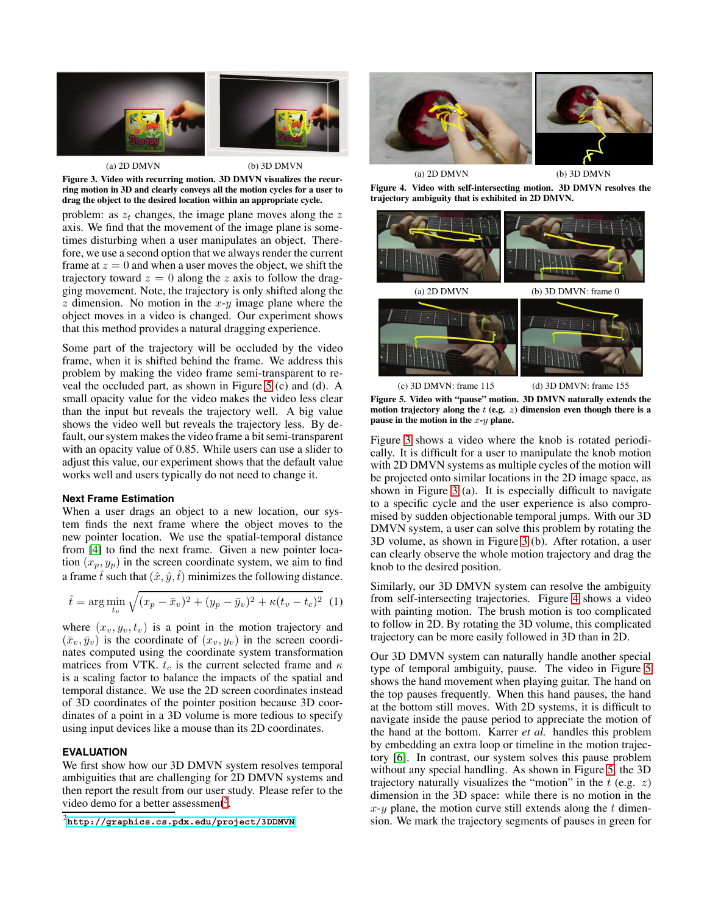

(a) 2D DMVN (b) 3D DMVN **Figure 3. Video with recurring motion. 3D DMVN visualizes the recurring motion in 3D and clearly conveys all the motion cycles for a user to drag the object to the desired location within an appropriate cycle.**

<span id="page-2-2"></span>problem: as  $z_t$  changes, the image plane moves along the  $z$ axis. We find that the movement of the image plane is sometimes disturbing when a user manipulates an object. Therefore, we use a second option that we always render the current frame at  $z = 0$  and when a user moves the object, we shift the trajectory toward  $z = 0$  along the z axis to follow the dragging movement. Note, the trajectory is only shifted along the z dimension. No motion in the  $x-y$  image plane where the object moves in a video is changed. Our experiment shows that this method provides a natural dragging experience.

Some part of the trajectory will be occluded by the video frame, when it is shifted behind the frame. We address this problem by making the video frame semi-transparent to reveal the occluded part, as shown in Figure [5](#page-2-0) (c) and (d). A small opacity value for the video makes the video less clear than the input but reveals the trajectory well. A big value shows the video well but reveals the trajectory less. By default, our system makes the video frame a bit semi-transparent with an opacity value of 0.85. While users can use a slider to adjust this value, our experiment shows that the default value works well and users typically do not need to change it.

#### **Next Frame Estimation**

When a user drags an object to a new location, our system finds the next frame where the object moves to the new pointer location. We use the spatial-temporal distance from [\[4\]](#page-3-3) to find the next frame. Given a new pointer location  $(x_p, y_p)$  in the screen coordinate system, we aim to find a frame  $\hat{t}$  such that  $(\hat{x}, \hat{y}, \hat{t})$  minimizes the following distance.

$$
\hat{t} = \arg\min_{t_v} \sqrt{(x_p - \bar{x}_v)^2 + (y_p - \bar{y}_v)^2 + \kappa (t_v - t_c)^2} \tag{1}
$$

where  $(x_v, y_v, t_v)$  is a point in the motion trajectory and  $(\bar{x}_v, \bar{y}_v)$  is the coordinate of  $(x_v, y_v)$  in the screen coordinates computed using the coordinate system transformation matrices from VTK.  $t_c$  is the current selected frame and  $\kappa$ is a scaling factor to balance the impacts of the spatial and temporal distance. We use the 2D screen coordinates instead of 3D coordinates of the pointer position because 3D coordinates of a point in a 3D volume is more tedious to specify using input devices like a mouse than its 2D coordinates.

# **EVALUATION**

We first show how our 3D DMVN system resolves temporal ambiguities that are challenging for 2D DMVN systems and then report the result from our user study. Please refer to the video demo for a better assessment<sup>2</sup>.



**Figure 4. Video with self-intersecting motion. 3D DMVN resolves the trajectory ambiguity that is exhibited in 2D DMVN.**

<span id="page-2-3"></span>

<span id="page-2-0"></span>**Figure 5. Video with "pause" motion. 3D DMVN naturally extends the motion trajectory along the** *t* **(e.g.** *z***) dimension even though there is a pause in the motion in the** *x***-***y* **plane.**

Figure [3](#page-2-2) shows a video where the knob is rotated periodically. It is difficult for a user to manipulate the knob motion with 2D DMVN systems as multiple cycles of the motion will be projected onto similar locations in the 2D image space, as shown in Figure [3](#page-2-2) (a). It is especially difficult to navigate to a specific cycle and the user experience is also compromised by sudden objectionable temporal jumps. With our 3D DMVN system, a user can solve this problem by rotating the 3D volume, as shown in Figure [3](#page-2-2) (b). After rotation, a user can clearly observe the whole motion trajectory and drag the knob to the desired position.

Similarly, our 3D DMVN system can resolve the ambiguity from self-intersecting trajectories. Figure [4](#page-2-3) shows a video with painting motion. The brush motion is too complicated to follow in 2D. By rotating the 3D volume, this complicated trajectory can be more easily followed in 3D than in 2D.

Our 3D DMVN system can naturally handle another special type of temporal ambiguity, pause. The video in Figure [5](#page-2-0) shows the hand movement when playing guitar. The hand on the top pauses frequently. When this hand pauses, the hand at the bottom still moves. With 2D systems, it is difficult to navigate inside the pause period to appreciate the motion of the hand at the bottom. Karrer *et al.* handles this problem by embedding an extra loop or timeline in the motion trajectory [\[6\]](#page-3-4). In contrast, our system solves this pause problem without any special handling. As shown in Figure [5,](#page-2-0) the 3D trajectory naturally visualizes the "motion" in the  $t$  (e.g.  $z$ ) dimension in the 3D space: while there is no motion in the  $x-y$  plane, the motion curve still extends along the t dimension. We mark the trajectory segments of pauses in green for

<span id="page-2-1"></span><sup>2</sup> **<http://graphics.cs.pdx.edu/project/3DDMVN>**